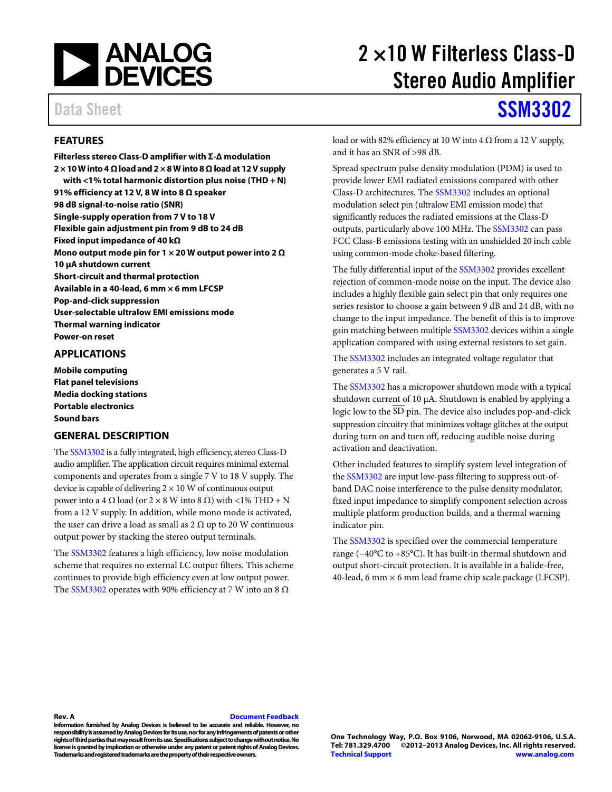

### <span id="page-0-0"></span>**FEATURES**

**Filterless stereo Class-D amplifier with Σ-Δ modulation 2 × 10 W into 4 Ω load and 2 × 8 W into 8 Ω load at 12V supply with <1% total harmonic distortion plus noise (THD + N) 91% efficiency at 12 V, 8 W into 8 Ω speaker 98 dB signal-to-noise ratio (SNR) Single-supply operation from 7 V to 18 V Flexible gain adjustment pin from 9 dB to 24 dB Fixed input impedance of 40 kΩ Mono output mode pin for 1 × 20 W output power into 2 Ω 10 µA shutdown current Short-circuit and thermal protection Available in a 40-lead, 6 mm × 6 mm LFCSP Pop-and-click suppression User-selectable ultralow EMI emissions mode Thermal warning indicator Power-on reset**

### <span id="page-0-1"></span>**APPLICATIONS**

**Mobile computing Flat panel televisions Media docking stations Portable electronics Sound bars** 

### <span id="page-0-2"></span>**GENERAL DESCRIPTION**

Th[e SSM3302](http://www.analog.com/SSM3302) is a fully integrated, high efficiency, stereo Class-D audio amplifier. The application circuit requires minimal external components and operates from a single 7 V to 18 V supply. The device is capable of delivering  $2 \times 10$  W of continuous output power into a 4 Ω load (or  $2 \times 8$  W into  $8$  Ω) with <1% THD + N from a 12 V supply. In addition, while mono mode is activated, the user can drive a load as small as  $2 \Omega$  up to 20 W continuous output power by stacking the stereo output terminals.

The [SSM3302](http://www.analog.com/SSM3302) features a high efficiency, low noise modulation scheme that requires no external LC output filters. This scheme continues to provide high efficiency even at low output power. The [SSM3302](http://www.analog.com/SSM3302) operates with 90% efficiency at 7 W into an 8  $\Omega$ 

# 2 ×10 W Filterless Class-D Stereo Audio Amplifier

# Data Sheet **[SSM3302](http://www.analog.com/SSM3302?doc=SSM3302.pdf)**

load or with 82% efficiency at 10 W into 4  $\Omega$  from a 12 V supply, and it has an SNR of >98 dB.

Spread spectrum pulse density modulation (PDM) is used to provide lower EMI radiated emissions compared with other Class-D architectures. Th[e SSM3302](http://www.analog.com/SSM3302) includes an optional modulation select pin (ultralow EMI emission mode) that significantly reduces the radiated emissions at the Class-D outputs, particularly above 100 MHz. Th[e SSM3302](http://www.analog.com/SSM3302) can pass FCC Class-B emissions testing with an unshielded 20 inch cable using common-mode choke-based filtering.

The fully differential input of th[e SSM3302](http://www.analog.com/SSM3302) provides excellent rejection of common-mode noise on the input. The device also includes a highly flexible gain select pin that only requires one series resistor to choose a gain between 9 dB and 24 dB, with no change to the input impedance. The benefit of this is to improve gain matching between multiple [SSM3302](http://www.analog.com/SSM3302) devices within a single application compared with using external resistors to set gain.

The [SSM3302](http://www.analog.com/SSM3302) includes an integrated voltage regulator that generates a 5 V rail.

The [SSM3302](http://www.analog.com/SSM3302) has a micropower shutdown mode with a typical shutdown current of 10 µA. Shutdown is enabled by applying a logic low to the SD pin. The device also includes pop-and-click suppression circuitry that minimizes voltage glitches at the output during turn on and turn off, reducing audible noise during activation and deactivation.

Other included features to simplify system level integration of the [SSM3302](http://www.analog.com/SSM3302) are input low-pass filtering to suppress out-ofband DAC noise interference to the pulse density modulator, fixed input impedance to simplify component selection across multiple platform production builds, and a thermal warning indicator pin.

The [SSM3302](http://www.analog.com/SSM3302) is specified over the commercial temperature range (−40°C to +85°C). It has built-in thermal shutdown and output short-circuit protection. It is available in a halide-free, 40-lead, 6 mm  $\times$  6 mm lead frame chip scale package (LFCSP).

### **Rev. A [Document Feedback](https://form.analog.com/Form_Pages/feedback/documentfeedback.aspx?doc=SSM3302.pdf&product=SSM3302&rev=A)**

**Information furnished by Analog Devices is believed to be accurate and reliable. However, no responsibility is assumed by Analog Devices for its use, nor for any infringements of patents or other rights of third parties that may result from its use. Specifications subject to change without notice. No license is granted by implication or otherwise under any patent or patent rights of Analog Devices. Trademarks and registered trademarks are the property of their respective owners.**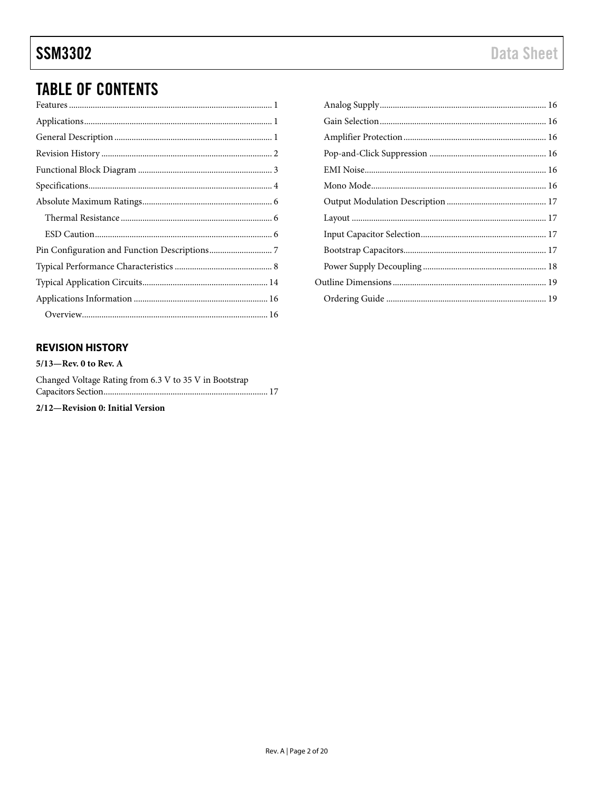## **TABLE OF CONTENTS**

## <span id="page-1-0"></span>**REVISION HISTORY**

 $5/13$ —Rev. 0 to Rev. A Changed Voltage Rating from 6.3 V to 35 V in Bootstrap 2/12-Revision 0: Initial Version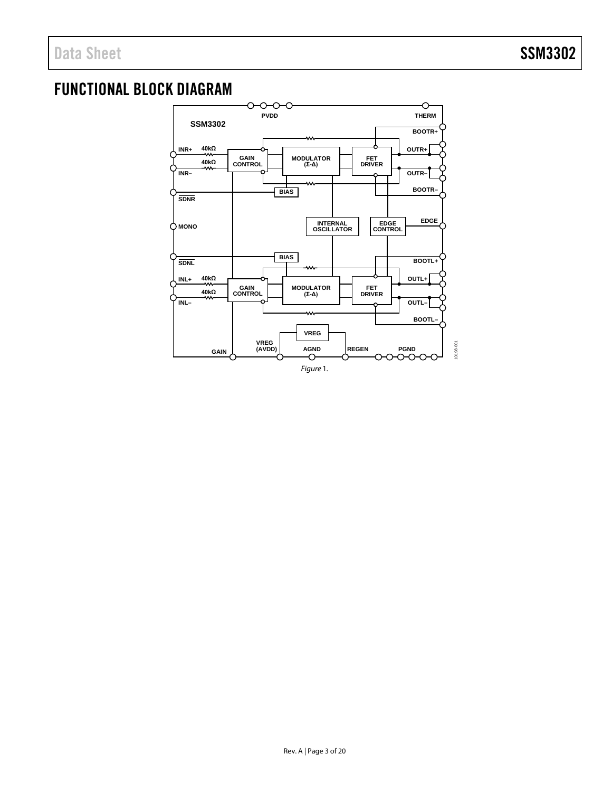## <span id="page-2-0"></span>FUNCTIONAL BLOCK DIAGRAM

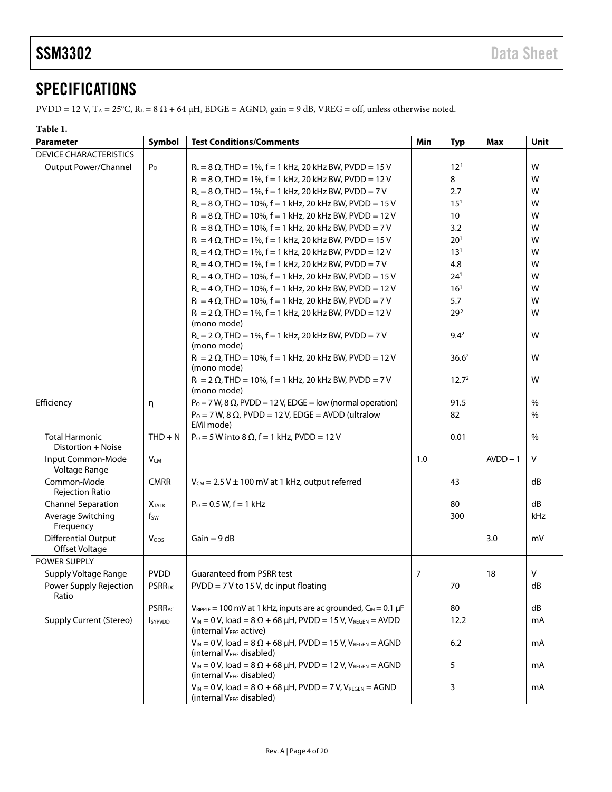## <span id="page-3-0"></span>**SPECIFICATIONS**

 $PVDD = 12$  V,  $T_A = 25^{\circ}\text{C}$ ,  $R_L = 8 \Omega + 64 \mu\text{H}$ ,  $EDGE = AGND$ ,  $gain = 9$  dB,  $VREG = off$ , unless otherwise noted.

### **Table 1.**

| <b>Parameter</b>                                                                                  | Symbol                                                         | <b>Test Conditions/Comments</b><br>Min                                                                             |          | <b>Typ</b>        | <b>Max</b> | Unit          |
|---------------------------------------------------------------------------------------------------|----------------------------------------------------------------|--------------------------------------------------------------------------------------------------------------------|----------|-------------------|------------|---------------|
| <b>DEVICE CHARACTERISTICS</b>                                                                     |                                                                |                                                                                                                    |          |                   |            |               |
| Output Power/Channel<br>$P_{O}$<br>$R_L = 8 \Omega$ , THD = 1%, f = 1 kHz, 20 kHz BW, PVDD = 15 V |                                                                |                                                                                                                    | $12^{1}$ |                   | W          |               |
|                                                                                                   |                                                                | $R_L = 8 \Omega$ , THD = 1%, f = 1 kHz, 20 kHz BW, PVDD = 12 V                                                     |          | 8                 |            | W             |
|                                                                                                   |                                                                | $R_L = 8 \Omega$ , THD = 1%, f = 1 kHz, 20 kHz BW, PVDD = 7 V                                                      |          | 2.7               |            | W             |
|                                                                                                   |                                                                | $R_L = 8 \Omega$ , THD = 10%, f = 1 kHz, 20 kHz BW, PVDD = 15 V                                                    |          | 15 <sup>1</sup>   |            | W             |
|                                                                                                   |                                                                | $R_L = 8 \Omega$ , THD = 10%, f = 1 kHz, 20 kHz BW, PVDD = 12 V                                                    |          | 10                |            | W             |
|                                                                                                   | $R_L = 8 \Omega$ , THD = 10%, f = 1 kHz, 20 kHz BW, PVDD = 7 V |                                                                                                                    |          | 3.2               |            | W             |
|                                                                                                   |                                                                | $R_L = 4 \Omega$ , THD = 1%, f = 1 kHz, 20 kHz BW, PVDD = 15 V                                                     |          | $20^{1}$          |            | W             |
|                                                                                                   |                                                                | $R_L = 4 \Omega$ , THD = 1%, f = 1 kHz, 20 kHz BW, PVDD = 12 V                                                     |          | $13^{1}$          |            | W             |
|                                                                                                   |                                                                | $R_L = 4 \Omega$ , THD = 1%, f = 1 kHz, 20 kHz BW, PVDD = 7 V                                                      |          | 4.8               |            | W             |
|                                                                                                   |                                                                | $R_L = 4 \Omega$ , THD = 10%, f = 1 kHz, 20 kHz BW, PVDD = 15 V                                                    |          | $24^{1}$          |            | W             |
|                                                                                                   |                                                                | $R_L = 4 \Omega$ , THD = 10%, f = 1 kHz, 20 kHz BW, PVDD = 12 V                                                    |          | 16 <sup>1</sup>   |            | W             |
|                                                                                                   |                                                                | $R_L = 4 \Omega$ , THD = 10%, f = 1 kHz, 20 kHz BW, PVDD = 7 V                                                     |          | 5.7               |            | W             |
|                                                                                                   |                                                                | $R_L = 2 \Omega$ , THD = 1%, f = 1 kHz, 20 kHz BW, PVDD = 12 V<br>(mono mode)                                      |          | 29 <sup>2</sup>   |            | W             |
|                                                                                                   |                                                                | $R_L = 2 \Omega$ , THD = 1%, f = 1 kHz, 20 kHz BW, PVDD = 7 V<br>(mono mode)                                       |          | $9.4^2$           |            | W             |
|                                                                                                   |                                                                | $R_L = 2 \Omega$ , THD = 10%, f = 1 kHz, 20 kHz BW, PVDD = 12 V<br>(mono mode)                                     |          | 36.6 <sup>2</sup> |            | W             |
|                                                                                                   |                                                                | $R_L = 2 \Omega$ , THD = 10%, f = 1 kHz, 20 kHz BW, PVDD = 7 V<br>(mono mode)                                      |          | 12.7 <sup>2</sup> |            | W             |
| Efficiency                                                                                        | η                                                              | $P_0 = 7$ W, 8 $\Omega$ , PVDD = 12 V, EDGE = low (normal operation)                                               |          | 91.5              |            | %             |
|                                                                                                   |                                                                | $P_0 = 7$ W, 8 $\Omega$ , PVDD = 12 V, EDGE = AVDD (ultralow                                                       |          | 82                |            | $\frac{0}{0}$ |
|                                                                                                   |                                                                | EMI mode)                                                                                                          |          |                   |            |               |
| <b>Total Harmonic</b><br>Distortion + Noise                                                       | $THD + N$                                                      | $P_0 = 5$ W into 8 Ω, $f = 1$ kHz, PVDD = 12 V                                                                     |          | 0.01              |            | %             |
| Input Common-Mode<br>Voltage Range                                                                | $V_{CM}$                                                       |                                                                                                                    | 1.0      |                   | $AVDD-1$   | V             |
| Common-Mode<br>Rejection Ratio                                                                    | <b>CMRR</b>                                                    | $V_{CM}$ = 2.5 V $\pm$ 100 mV at 1 kHz, output referred                                                            |          | 43                |            | dB            |
| <b>Channel Separation</b>                                                                         | <b>X</b> TALK                                                  | $P_0 = 0.5 W$ , f = 1 kHz                                                                                          |          | 80                |            | dB            |
| Average Switching<br>Frequency                                                                    | $f_{\text{SW}}$                                                |                                                                                                                    |          | 300               |            | kHz           |
| <b>Differential Output</b>                                                                        | Voos                                                           | $Gain = 9 dB$                                                                                                      |          |                   | 3.0        | mV            |
| Offset Voltage                                                                                    |                                                                |                                                                                                                    |          |                   |            |               |
| POWER SUPPLY                                                                                      |                                                                |                                                                                                                    |          |                   |            |               |
| Supply Voltage Range                                                                              | <b>PVDD</b>                                                    | <b>Guaranteed from PSRR test</b>                                                                                   | 7        |                   | 18         | V             |
| Power Supply Rejection<br>Ratio                                                                   | <b>PSRR<sub>DC</sub></b>                                       | $PVDD = 7 V$ to 15 V, dc input floating                                                                            |          | 70                |            | dB            |
|                                                                                                   | <b>PSRRAC</b>                                                  | $V_{RIPPLE}$ = 100 mV at 1 kHz, inputs are ac grounded, $C_{IN}$ = 0.1 µF                                          |          | 80                |            | dB            |
| <b>Supply Current (Stereo)</b><br><b>I</b> sypvDD                                                 |                                                                | $V_{IN} = 0 V$ , load = 8 $\Omega$ + 68 $\mu$ H, PVDD = 15 V, VREGEN = AVDD<br>(internal V <sub>REG</sub> active)  |          | 12.2              |            | mA            |
|                                                                                                   |                                                                | $V_{IN} = 0 V$ , load = 8 $\Omega$ + 68 µH, PVDD = 15 V, VREGEN = AGND<br>(internal V <sub>REG</sub> disabled)     |          | 6.2               |            | mA            |
|                                                                                                   |                                                                | $V_{IN} = 0$ V, load = 8 $\Omega$ + 68 $\mu$ H, PVDD = 12 V, VREGEN = AGND<br>(internal V <sub>REG</sub> disabled) |          | 5                 |            | mA            |
|                                                                                                   |                                                                | $V_{IN} = 0 V$ , load = 8 $\Omega$ + 68 µH, PVDD = 7 V, VREGEN = AGND<br>(internal V <sub>REG</sub> disabled)      |          | 3                 |            | mA            |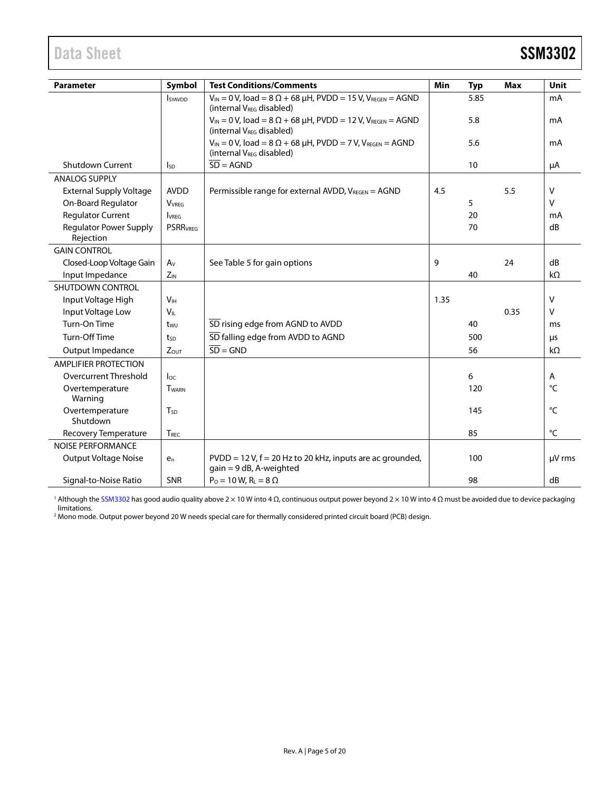<span id="page-4-0"></span>

| <b>SSM3302</b> |
|----------------|
|                |

| <b>Test Conditions/Comments</b><br><b>Parameter</b><br>Symbol                                                                                     |                  | Min                                                                                                                            | <b>Typ</b> | <b>Max</b> | Unit |           |
|---------------------------------------------------------------------------------------------------------------------------------------------------|------------------|--------------------------------------------------------------------------------------------------------------------------------|------------|------------|------|-----------|
| $V_{IN} = 0$ V, load = 8 $\Omega$ + 68 $\mu$ H, PVDD = 15 V, V <sub>REGEN</sub> = AGND<br><b>I</b> syavdd<br>(internal V <sub>REG</sub> disabled) |                  |                                                                                                                                | 5.85       |            | mA   |           |
|                                                                                                                                                   |                  | $V_{IN} = 0$ V, load = 8 $\Omega$ + 68 $\mu$ H, PVDD = 12 V, V <sub>REGEN</sub> = AGND<br>(internal V <sub>REG</sub> disabled) |            | 5.8        |      | mA        |
|                                                                                                                                                   |                  | $V_{IN} = 0$ V, load = 8 $\Omega$ + 68 $\mu$ H, PVDD = 7 V, VREGEN = AGND<br>(internal V <sub>REG</sub> disabled)              |            | 5.6        |      | mA        |
| Shutdown Current                                                                                                                                  | <b>I</b> sp      | $\overline{SD}$ = AGND                                                                                                         |            | 10         |      | μA        |
| <b>ANALOG SUPPLY</b>                                                                                                                              |                  |                                                                                                                                |            |            |      |           |
| <b>External Supply Voltage</b>                                                                                                                    | <b>AVDD</b>      | Permissible range for external AVDD, VREGEN = AGND                                                                             | 4.5        |            | 5.5  | $\vee$    |
| On-Board Regulator                                                                                                                                | <b>VVRFG</b>     |                                                                                                                                |            | 5          |      | v         |
| <b>Regulator Current</b>                                                                                                                          | <b>VRFG</b>      |                                                                                                                                |            | 20         |      | mA        |
| <b>Regulator Power Supply</b><br>Rejection                                                                                                        | <b>PSRRVREG</b>  |                                                                                                                                |            | 70         |      | dB        |
| <b>GAIN CONTROL</b>                                                                                                                               |                  |                                                                                                                                |            |            |      |           |
| Closed-Loop Voltage Gain                                                                                                                          | $A_V$            | See Table 5 for gain options                                                                                                   | 9          |            | 24   | dB        |
| Input Impedance                                                                                                                                   | $Z_{IN}$         |                                                                                                                                |            | 40         |      | $k\Omega$ |
| SHUTDOWN CONTROL                                                                                                                                  |                  |                                                                                                                                |            |            |      |           |
| Input Voltage High                                                                                                                                | V <sub>IH</sub>  |                                                                                                                                | 1.35       |            |      | v         |
| Input Voltage Low                                                                                                                                 | $V_{IL}$         |                                                                                                                                |            |            | 0.35 | v         |
| Turn-On Time                                                                                                                                      | twu              | SD rising edge from AGND to AVDD                                                                                               |            | 40         |      | ms        |
| Turn-Off Time                                                                                                                                     | tsp              | SD falling edge from AVDD to AGND                                                                                              |            | 500        |      | μs        |
| Output Impedance                                                                                                                                  | ZOUT             | $SD = GND$                                                                                                                     |            | 56         |      | $k\Omega$ |
| <b>AMPLIFIER PROTECTION</b>                                                                                                                       |                  |                                                                                                                                |            |            |      |           |
| Overcurrent Threshold                                                                                                                             | loc              |                                                                                                                                |            | 6          |      | Α         |
| Overtemperature<br>Warning                                                                                                                        | <b>TWARN</b>     |                                                                                                                                |            | 120        |      | °C        |
| Overtemperature<br>Shutdown                                                                                                                       | $T_{SD}$         |                                                                                                                                |            | 145        |      | °C        |
| Recovery Temperature                                                                                                                              | T <sub>REC</sub> |                                                                                                                                |            | 85         |      | °C        |
| <b>NOISE PERFORMANCE</b>                                                                                                                          |                  |                                                                                                                                |            |            |      |           |
| Output Voltage Noise                                                                                                                              | $e_n$            | $PVDD = 12 V$ , $f = 20 Hz$ to 20 kHz, inputs are ac grounded,<br>$gain = 9 dB$ , A-weighted                                   |            | 100        |      | µV rms    |
| Signal-to-Noise Ratio                                                                                                                             | <b>SNR</b>       | $P_0 = 10 \text{ W}, R_L = 8 \Omega$                                                                                           |            | 98         |      | dB        |

<sup>1</sup> Although th[e SSM3302](http://www.analog.com/SSM3302) has good audio quality above 2 × 10 W into 4 Ω, continuous output power beyond 2 × 10 W into 4 Ω must be avoided due to device packaging limitations.

<sup>2</sup> Mono mode. Output power beyond 20 W needs special care for thermally considered printed circuit board (PCB) design.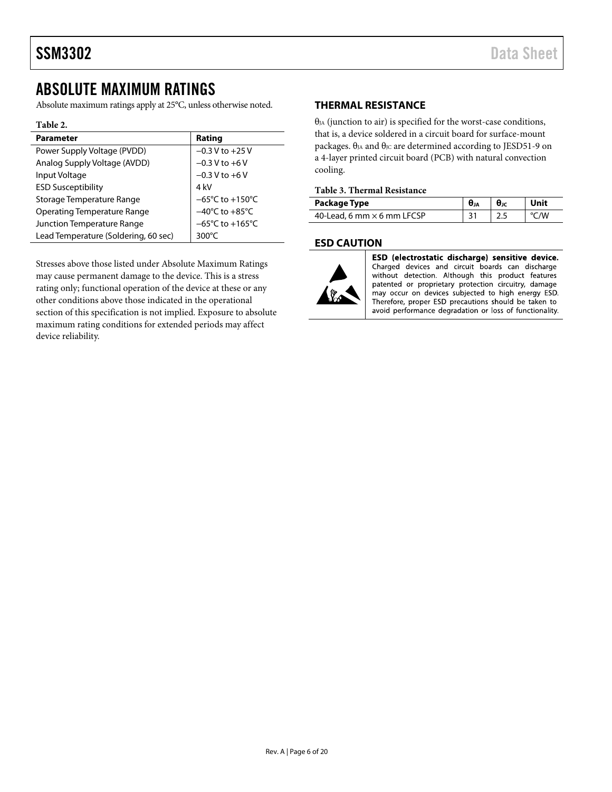## <span id="page-5-0"></span>ABSOLUTE MAXIMUM RATINGS

Absolute maximum ratings apply at 25°C, unless otherwise noted.

### **Table 2.**

| <b>Parameter</b>                     | Rating                               |
|--------------------------------------|--------------------------------------|
| Power Supply Voltage (PVDD)          | $-0.3 V$ to $+25 V$                  |
| Analog Supply Voltage (AVDD)         | $-0.3 V$ to $+6 V$                   |
| Input Voltage                        | $-0.3 V$ to $+6 V$                   |
| <b>ESD Susceptibility</b>            | 4 kV                                 |
| Storage Temperature Range            | $-65^{\circ}$ C to $+150^{\circ}$ C  |
| <b>Operating Temperature Range</b>   | $-40^{\circ}$ C to $+85^{\circ}$ C   |
| Junction Temperature Range           | $-65^{\circ}$ C to +165 $^{\circ}$ C |
| Lead Temperature (Soldering, 60 sec) | 300°C                                |

Stresses above those listed under Absolute Maximum Ratings may cause permanent damage to the device. This is a stress rating only; functional operation of the device at these or any other conditions above those indicated in the operational section of this specification is not implied. Exposure to absolute maximum rating conditions for extended periods may affect device reliability.

### <span id="page-5-1"></span>**THERMAL RESISTANCE**

 $\theta_{JA}$  (junction to air) is specified for the worst-case conditions, that is, a device soldered in a circuit board for surface-mount packages.  $θ<sub>JA</sub>$  and  $θ<sub>JC</sub>$  are determined according to JESD51-9 on a 4-layer printed circuit board (PCB) with natural convection cooling.

### **Table 3. Thermal Resistance**

| Package Type                      | θ」A | $\theta$ Jc | Unit |
|-----------------------------------|-----|-------------|------|
| 40-Lead, 6 mm $\times$ 6 mm LFCSP |     |             | W    |

### <span id="page-5-2"></span>**ESD CAUTION**



ESD (electrostatic discharge) sensitive device. Charged devices and circuit boards can discharge without detection. Although this product features patented or proprietary protection circuitry, damage may occur on devices subjected to high energy ESD. Therefore, proper ESD precautions should be taken to avoid performance degradation or loss of functionality.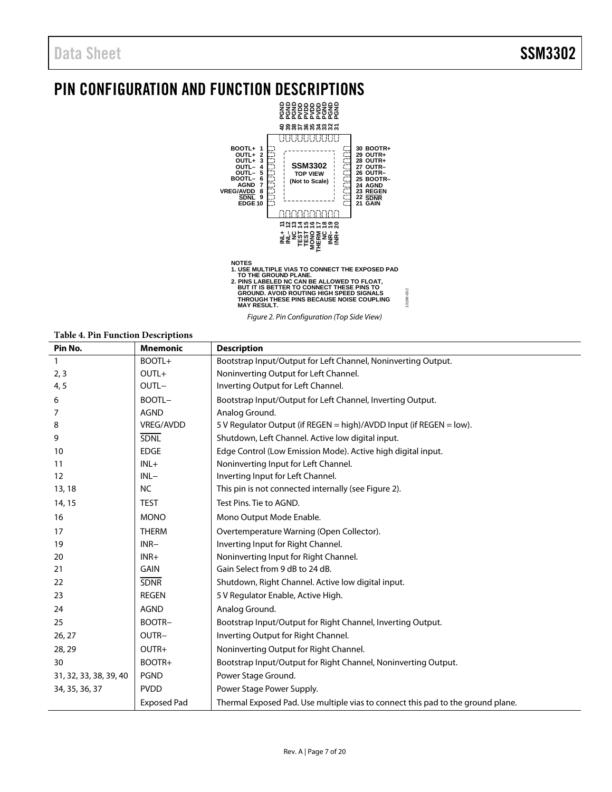## <span id="page-6-0"></span>PIN CONFIGURATION AND FUNCTION DESCRIPTIONS



Figure 2. Pin Configuration (Top Side View)

10198-002

10198-002

### <span id="page-6-1"></span>**Table 4. Pin Function Descriptions**

| Pin No.                | <b>Mnemonic</b>    | <b>Description</b>                                                              |
|------------------------|--------------------|---------------------------------------------------------------------------------|
| $\mathbf{1}$           | BOOTL+             | Bootstrap Input/Output for Left Channel, Noninverting Output.                   |
| 2, 3                   | $OUTL+$            | Noninverting Output for Left Channel.                                           |
| 4, 5                   | OUTL-              | Inverting Output for Left Channel.                                              |
| 6                      | BOOTL-             | Bootstrap Input/Output for Left Channel, Inverting Output.                      |
| 7                      | <b>AGND</b>        | Analog Ground.                                                                  |
| 8                      | VREG/AVDD          | 5 V Regulator Output (if REGEN = high)/AVDD Input (if REGEN = low).             |
| 9                      | <b>SDNL</b>        | Shutdown, Left Channel. Active low digital input.                               |
| 10                     | <b>EDGE</b>        | Edge Control (Low Emission Mode). Active high digital input.                    |
| 11                     | $INL+$             | Noninverting Input for Left Channel.                                            |
| 12                     | $INL-$             | Inverting Input for Left Channel.                                               |
| 13, 18                 | <b>NC</b>          | This pin is not connected internally (see Figure 2).                            |
| 14, 15                 | <b>TEST</b>        | Test Pins. Tie to AGND.                                                         |
| 16                     | <b>MONO</b>        | Mono Output Mode Enable.                                                        |
| 17                     | <b>THERM</b>       | Overtemperature Warning (Open Collector).                                       |
| 19                     | $INR-$             | Inverting Input for Right Channel.                                              |
| 20                     | $INR+$             | Noninverting Input for Right Channel.                                           |
| 21                     | <b>GAIN</b>        | Gain Select from 9 dB to 24 dB.                                                 |
| 22                     | <b>SDNR</b>        | Shutdown, Right Channel. Active low digital input.                              |
| 23                     | <b>REGEN</b>       | 5 V Regulator Enable, Active High.                                              |
| 24                     | <b>AGND</b>        | Analog Ground.                                                                  |
| 25                     | BOOTR-             | Bootstrap Input/Output for Right Channel, Inverting Output.                     |
| 26, 27                 | OUTR-              | Inverting Output for Right Channel.                                             |
| 28, 29                 | OUTR+              | Noninverting Output for Right Channel.                                          |
| 30                     | BOOTR+             | Bootstrap Input/Output for Right Channel, Noninverting Output.                  |
| 31, 32, 33, 38, 39, 40 | <b>PGND</b>        | Power Stage Ground.                                                             |
| 34, 35, 36, 37         | <b>PVDD</b>        | Power Stage Power Supply.                                                       |
|                        | <b>Exposed Pad</b> | Thermal Exposed Pad. Use multiple vias to connect this pad to the ground plane. |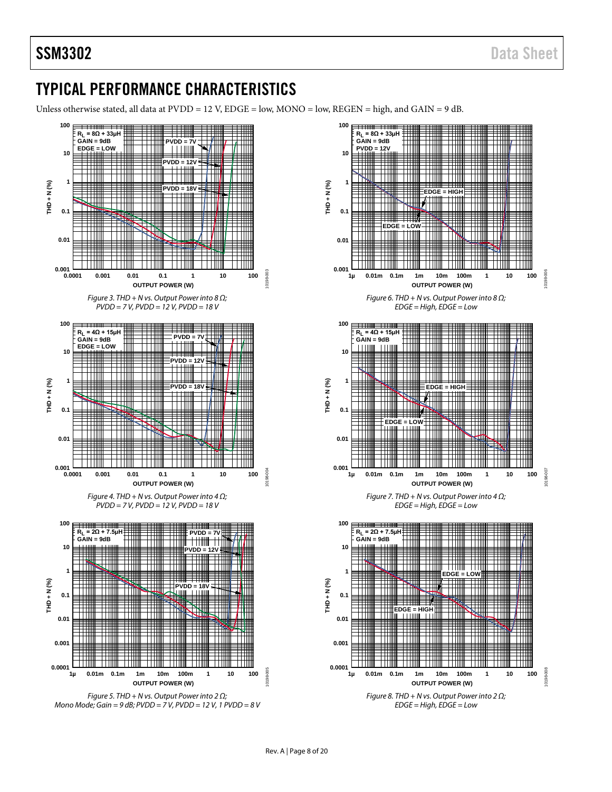## <span id="page-7-0"></span>TYPICAL PERFORMANCE CHARACTERISTICS

Unless otherwise stated, all data at PVDD = 12 V, EDGE = low, MONO = low, REGEN = high, and GAIN = 9 dB.





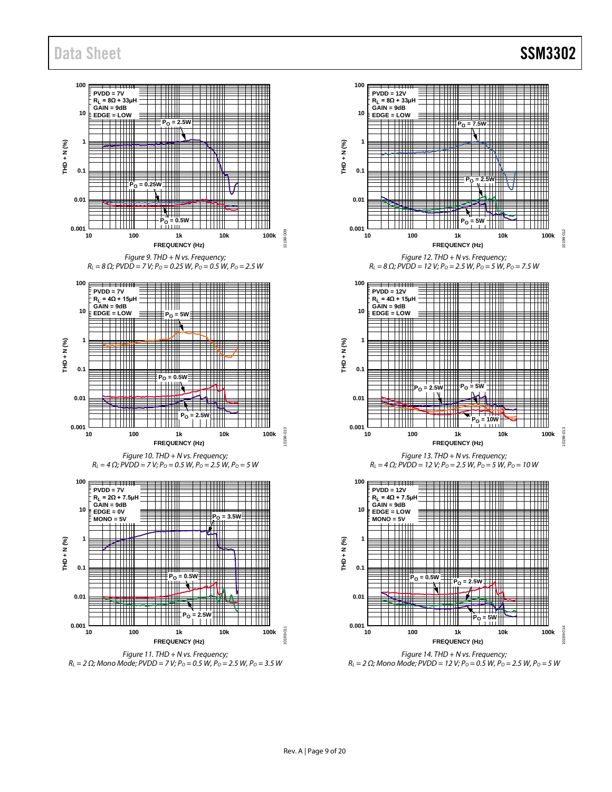

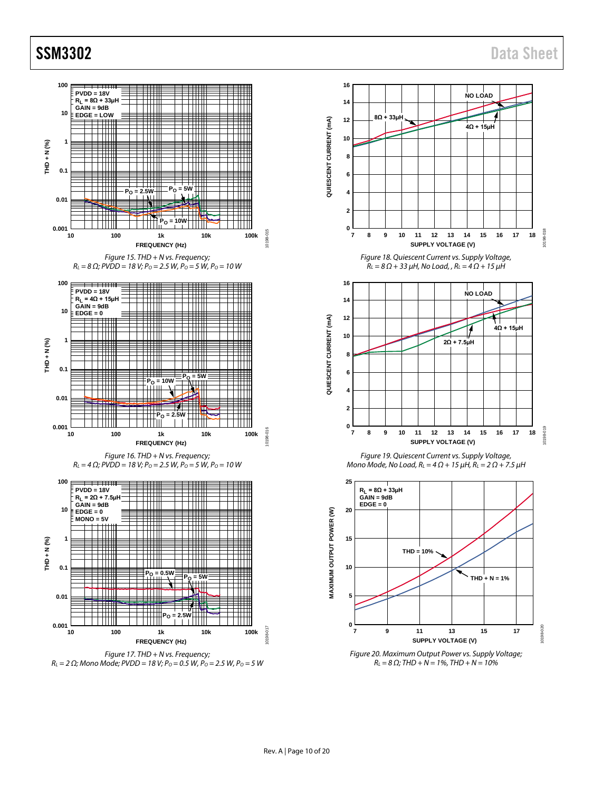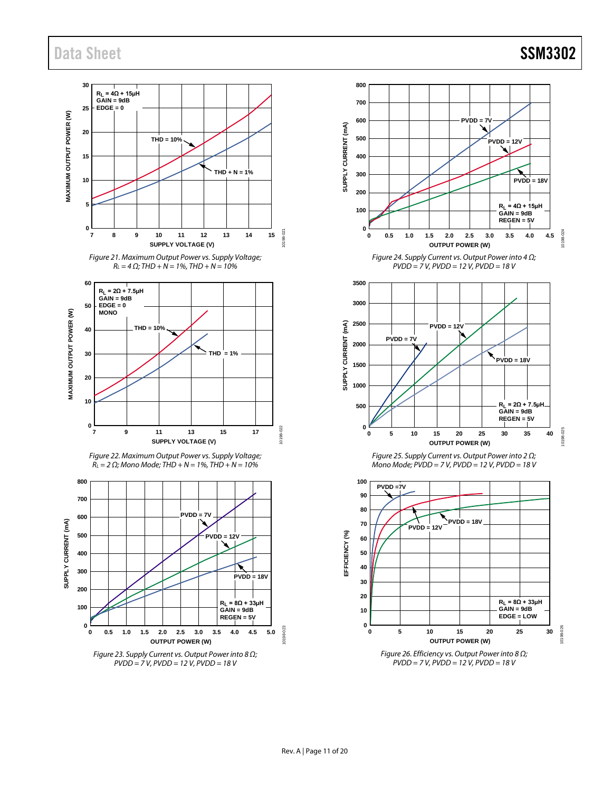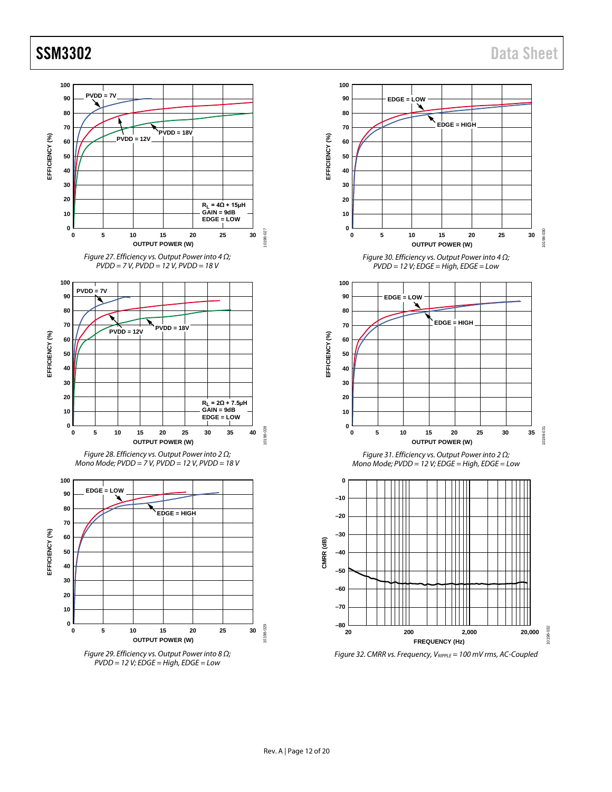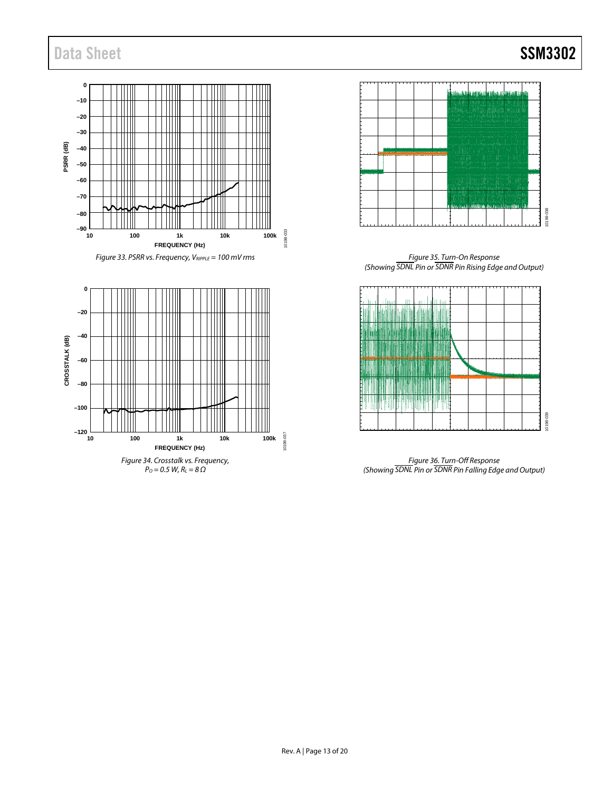





*Figure 35. Turn-On Response (Showing <sup>A</sup> SDNL<sup>E</sup> <sup>A</sup> Pin or <sup>A</sup> SDNR<sup>E</sup> <sup>A</sup> Pin Rising Edge and Output)*



*Figure 36. Turn-Off Response (Showing <sup>A</sup> SDNL<sup>E</sup> <sup>A</sup> Pin or <sup>A</sup> SDNR<sup>E</sup> <sup>A</sup> Pin Falling Edge and Output)*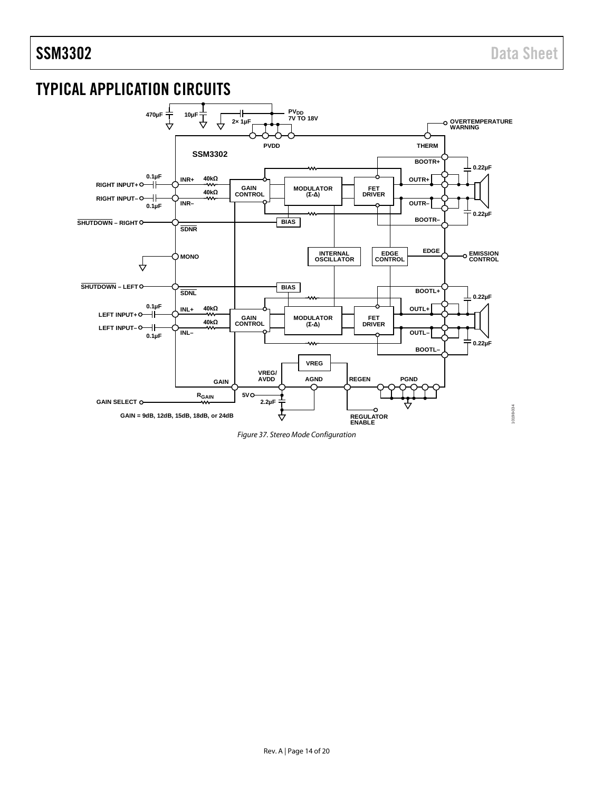## <span id="page-13-0"></span>TYPICAL APPLICATION CIRCUITS



*Figure 37. Stereo Mode Configuration*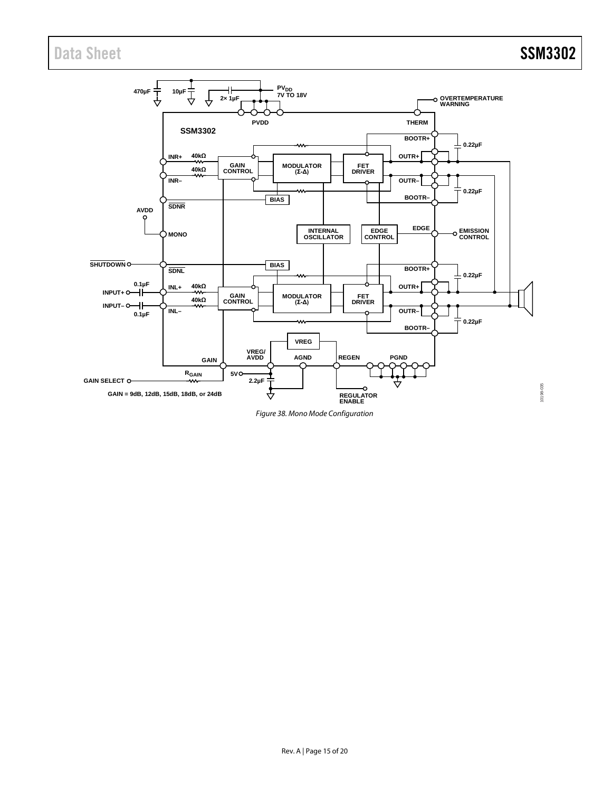

*Figure 38. Mono Mode Configuration*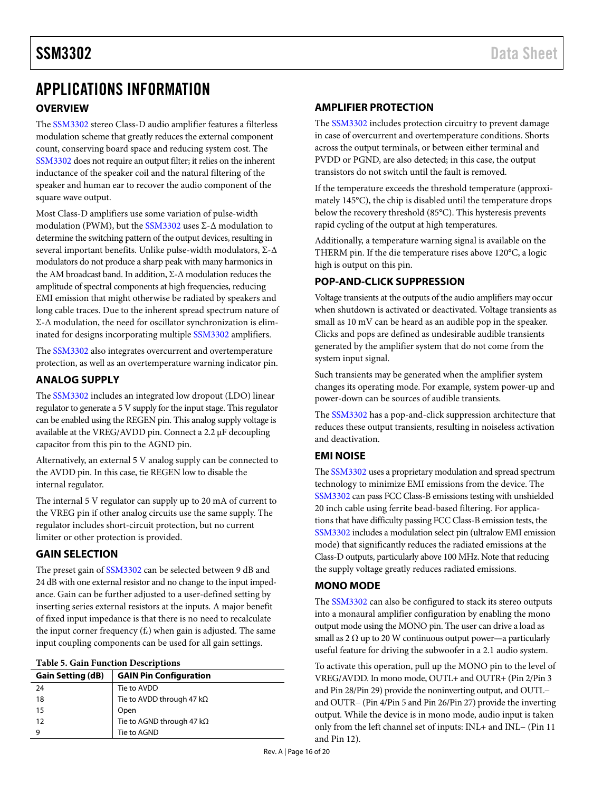## <span id="page-15-1"></span><span id="page-15-0"></span>APPLICATIONS INFORMATION **OVERVIEW**

The [SSM3302 s](http://www.analog.com/SSM3302)tereo Class-D audio amplifier features a filterless modulation scheme that greatly reduces the external component count, conserving board space and reducing system cost. The [SSM3302 d](http://www.analog.com/SSM3302)oes not require an output filter; it relies on the inherent inductance of the speaker coil and the natural filtering of the speaker and human ear to recover the audio component of the square wave output.

Most Class-D amplifiers use some variation of pulse-width modulation (PWM), but th[e SSM3302](http://www.analog.com/SSM3302) uses Σ-Δ modulation to determine the switching pattern of the output devices, resulting in several important benefits. Unlike pulse-width modulators, Σ-Δ modulators do not produce a sharp peak with many harmonics in the AM broadcast band. In addition, Σ-Δ modulation reduces the amplitude of spectral components at high frequencies, reducing EMI emission that might otherwise be radiated by speakers and long cable traces. Due to the inherent spread spectrum nature of Σ-Δ modulation, the need for oscillator synchronization is eliminated for designs incorporating multipl[e SSM3302 a](http://www.analog.com/SSM3302)mplifiers.

The [SSM3302 a](http://www.analog.com/SSM3302)lso integrates overcurrent and overtemperature protection, as well as an overtemperature warning indicator pin.

### <span id="page-15-2"></span>**ANALOG SUPPLY**

The [SSM3302 i](http://www.analog.com/SSM3302)ncludes an integrated low dropout (LDO) linear regulator to generate a 5 V supply for the input stage. This regulator can be enabled using the REGEN pin. This analog supply voltage is available at the VREG/AVDD pin. Connect a 2.2 μF decoupling capacitor from this pin to the AGND pin.

Alternatively, an external 5 V analog supply can be connected to the AVDD pin. In this case, tie REGEN low to disable the internal regulator.

The internal 5 V regulator can supply up to 20 mA of current to the VREG pin if other analog circuits use the same supply. The regulator includes short-circuit protection, but no current limiter or other protection is provided.

### <span id="page-15-3"></span>**GAIN SELECTION**

The preset gain of [SSM3302 c](http://www.analog.com/SSM3302)an be selected between 9 dB and 24 dB with one external resistor and no change to the input impedance. Gain can be further adjusted to a user-defined setting by inserting series external resistors at the inputs. A major benefit of fixed input impedance is that there is no need to recalculate the input corner frequency  $(f_c)$  when gain is adjusted. The same input coupling components can be used for all gain settings.

<span id="page-15-8"></span>

| <b>Gain Setting (dB)</b> | <b>GAIN Pin Configuration</b>     |
|--------------------------|-----------------------------------|
| 24                       | Tie to AVDD                       |
| 18                       | Tie to AVDD through 47 kΩ         |
| 15                       | Open                              |
| -12                      | Tie to AGND through 47 k $\Omega$ |
| 9                        | Tie to AGND                       |
|                          |                                   |

## <span id="page-15-4"></span>**AMPLIFIER PROTECTION**

The [SSM3302 i](http://www.analog.com/SSM3302)ncludes protection circuitry to prevent damage in case of overcurrent and overtemperature conditions. Shorts across the output terminals, or between either terminal and PVDD or PGND, are also detected; in this case, the output transistors do not switch until the fault is removed.

If the temperature exceeds the threshold temperature (approximately 145°C), the chip is disabled until the temperature drops below the recovery threshold (85°C). This hysteresis prevents rapid cycling of the output at high temperatures.

Additionally, a temperature warning signal is available on the THERM pin. If the die temperature rises above 120°C, a logic high is output on this pin.

## <span id="page-15-5"></span>**POP-AND-CLICK SUPPRESSION**

Voltage transients at the outputs of the audio amplifiers may occur when shutdown is activated or deactivated. Voltage transients as small as 10 mV can be heard as an audible pop in the speaker. Clicks and pops are defined as undesirable audible transients generated by the amplifier system that do not come from the system input signal.

Such transients may be generated when the amplifier system changes its operating mode. For example, system power-up and power-down can be sources of audible transients.

The [SSM3302 h](http://www.analog.com/SSM3302)as a pop-and-click suppression architecture that reduces these output transients, resulting in noiseless activation and deactivation.

## <span id="page-15-6"></span>**EMI NOISE**

Th[e SSM3302 u](http://www.analog.com/SSM3302)ses a proprietary modulation and spread spectrum technology to minimize EMI emissions from the device. The [SSM3302 c](http://www.analog.com/SSM3302)an pass FCC Class-B emissions testing with unshielded 20 inch cable using ferrite bead-based filtering. For applications that have difficulty passing FCC Class-B emission tests, the [SSM3302 i](http://www.analog.com/SSM3302)ncludes a modulation select pin (ultralow EMI emission mode) that significantly reduces the radiated emissions at the Class-D outputs, particularly above 100 MHz. Note that reducing the supply voltage greatly reduces radiated emissions.

## <span id="page-15-7"></span>**MONO MODE**

The [SSM3302 c](http://www.analog.com/SSM3302)an also be configured to stack its stereo outputs into a monaural amplifier configuration by enabling the mono output mode using the MONO pin. The user can drive a load as small as 2  $\Omega$  up to 20 W continuous output power—a particularly useful feature for driving the subwoofer in a 2.1 audio system.

To activate this operation, pull up the MONO pin to the level of VREG/AVDD. In mono mode, OUTL+ and OUTR+ (Pin 2/Pin 3 and Pin 28/Pin 29) provide the noninverting output, and OUTL− and OUTR− (Pin 4/Pin 5 and Pin 26/Pin 27) provide the inverting output. While the device is in mono mode, audio input is taken only from the left channel set of inputs: INL+ and INL− (Pin 11 and Pin 12).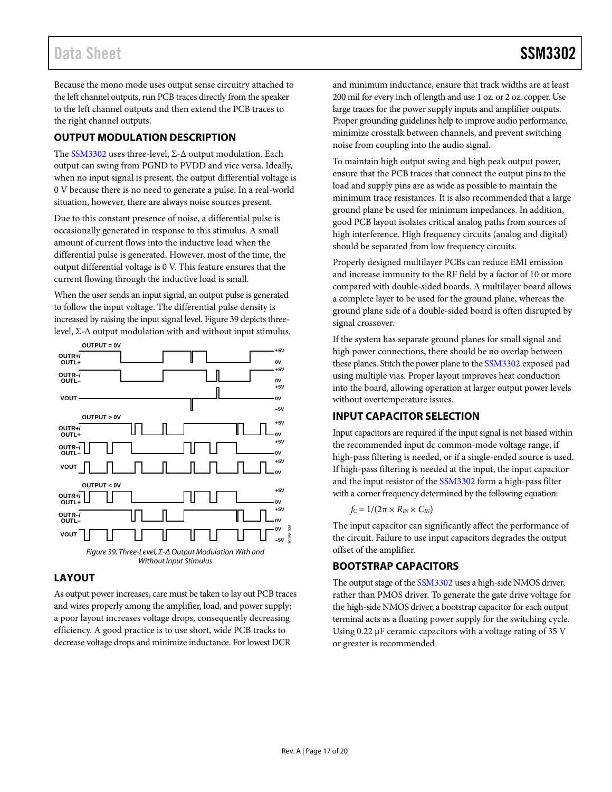Because the mono mode uses output sense circuitry attached to the left channel outputs, run PCB traces directly from the speaker to the left channel outputs and then extend the PCB traces to the right channel outputs.

## <span id="page-16-0"></span>**OUTPUT MODULATION DESCRIPTION**

The [SSM3302](http://www.analog.com/SSM3302) uses three-level, Σ-Δ output modulation. Each output can swing from PGND to PVDD and vice versa. Ideally, when no input signal is present, the output differential voltage is 0 V because there is no need to generate a pulse. In a real-world situation, however, there are always noise sources present.

Due to this constant presence of noise, a differential pulse is occasionally generated in response to this stimulus. A small amount of current flows into the inductive load when the differential pulse is generated. However, most of the time, the output differential voltage is 0 V. This feature ensures that the current flowing through the inductive load is small.

When the user sends an input signal, an output pulse is generated to follow the input voltage. The differential pulse density is increased by raising the input signal level. [Figure 39](#page-16-4) depicts threelevel, Σ-Δ output modulation with and without input stimulus.



## <span id="page-16-4"></span><span id="page-16-1"></span>**LAYOUT**

As output power increases, care must be taken to lay out PCB traces and wires properly among the amplifier, load, and power supply; a poor layout increases voltage drops, consequently decreasing efficiency. A good practice is to use short, wide PCB tracks to decrease voltage drops and minimize inductance. For lowest DCR

and minimum inductance, ensure that track widths are at least 200 mil for every inch of length and use 1 oz. or 2 oz. copper. Use large traces for the power supply inputs and amplifier outputs. Proper grounding guidelines help to improve audio performance, minimize crosstalk between channels, and prevent switching noise from coupling into the audio signal.

To maintain high output swing and high peak output power, ensure that the PCB traces that connect the output pins to the load and supply pins are as wide as possible to maintain the minimum trace resistances. It is also recommended that a large ground plane be used for minimum impedances. In addition, good PCB layout isolates critical analog paths from sources of high interference. High frequency circuits (analog and digital) should be separated from low frequency circuits.

Properly designed multilayer PCBs can reduce EMI emission and increase immunity to the RF field by a factor of 10 or more compared with double-sided boards. A multilayer board allows a complete layer to be used for the ground plane, whereas the ground plane side of a double-sided board is often disrupted by signal crossover.

If the system has separate ground planes for small signal and high power connections, there should be no overlap between these planes. Stitch the power plane to the [SSM3302](http://www.analog.com/SSM3302) exposed pad using multiple vias. Proper layout improves heat conduction into the board, allowing operation at larger output power levels without overtemperature issues.

## <span id="page-16-2"></span>**INPUT CAPACITOR SELECTION**

Input capacitors are required if the input signal is not biased within the recommended input dc common-mode voltage range, if high-pass filtering is needed, or if a single-ended source is used. If high-pass filtering is needed at the input, the input capacitor and the input resistor of the [SSM3302](http://www.analog.com/SSM3302) form a high-pass filter with a corner frequency determined by the following equation:

$$
f_C = 1/(2\pi \times R_{IN} \times C_{IN})
$$

The input capacitor can significantly affect the performance of the circuit. Failure to use input capacitors degrades the output offset of the amplifier.

## <span id="page-16-3"></span>**BOOTSTRAP CAPACITORS**

The output stage of th[e SSM3302](http://www.analog.com/SSM3302) uses a high-side NMOS driver, rather than PMOS driver. To generate the gate drive voltage for the high-side NMOS driver, a bootstrap capacitor for each output terminal acts as a floating power supply for the switching cycle. Using 0.22 μF ceramic capacitors with a voltage rating of 35 V or greater is recommended.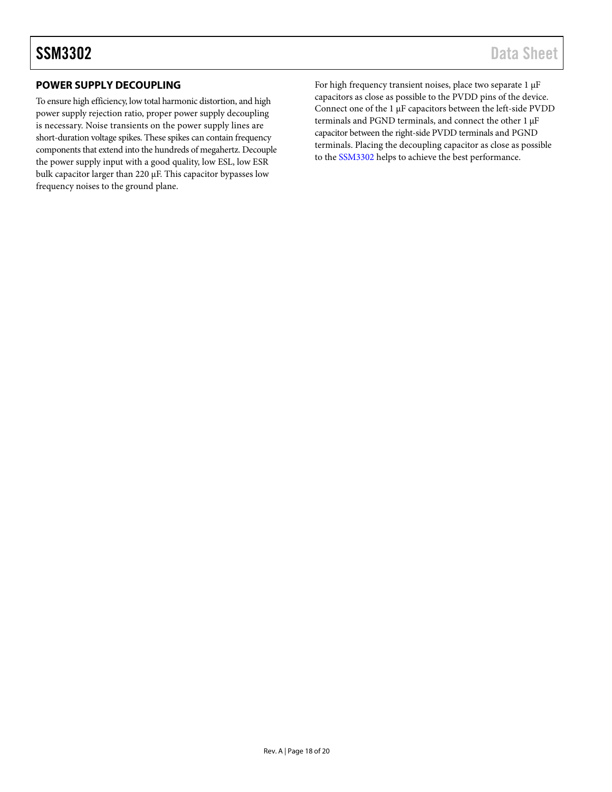## <span id="page-17-0"></span>**POWER SUPPLY DECOUPLING**

To ensure high efficiency, low total harmonic distortion, and high power supply rejection ratio, proper power supply decoupling is necessary. Noise transients on the power supply lines are short-duration voltage spikes. These spikes can contain frequency components that extend into the hundreds of megahertz. Decouple the power supply input with a good quality, low ESL, low ESR bulk capacitor larger than 220 µF. This capacitor bypasses low frequency noises to the ground plane.

For high frequency transient noises, place two separate 1 µF capacitors as close as possible to the PVDD pins of the device. Connect one of the 1 µF capacitors between the left-side PVDD terminals and PGND terminals, and connect the other 1 µF capacitor between the right-side PVDD terminals and PGND terminals. Placing the decoupling capacitor as close as possible to the [SSM3302](http://www.analog.com/SSM3302) helps to achieve the best performance.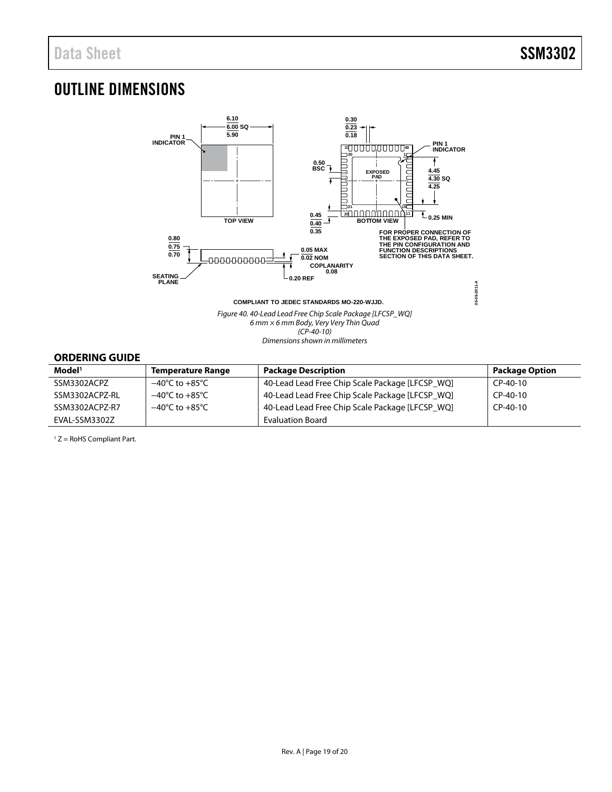## <span id="page-18-0"></span>OUTLINE DIMENSIONS



Figure 40. 40-Lead Lead Free Chip Scale Package [LFCSP\_WQ]  $6$  mm  $\times$  6 mm Body, Very Very Thin Quad (CP-40-10) Dimensions shown in millimeters

## <span id="page-18-1"></span>**ORDERING GUIDE**

| Model <sup>1</sup> | Temperature Range                  | <b>Package Description</b>                      | <b>Package Option</b> |
|--------------------|------------------------------------|-------------------------------------------------|-----------------------|
| SSM3302ACPZ        | $-40^{\circ}$ C to $+85^{\circ}$ C | 40-Lead Lead Free Chip Scale Package [LFCSP WQ] | $CP-40-10$            |
| SSM3302ACPZ-RL     | $-40^{\circ}$ C to $+85^{\circ}$ C | 40-Lead Lead Free Chip Scale Package [LFCSP WQ] | $CP-40-10$            |
| SSM3302ACPZ-R7     | $-40^{\circ}$ C to $+85^{\circ}$ C | 40-Lead Lead Free Chip Scale Package [LFCSP WQ] | $CP-40-10$            |
| EVAL-SSM3302Z      |                                    | <b>Evaluation Board</b>                         |                       |

1 Z = RoHS Compliant Part.